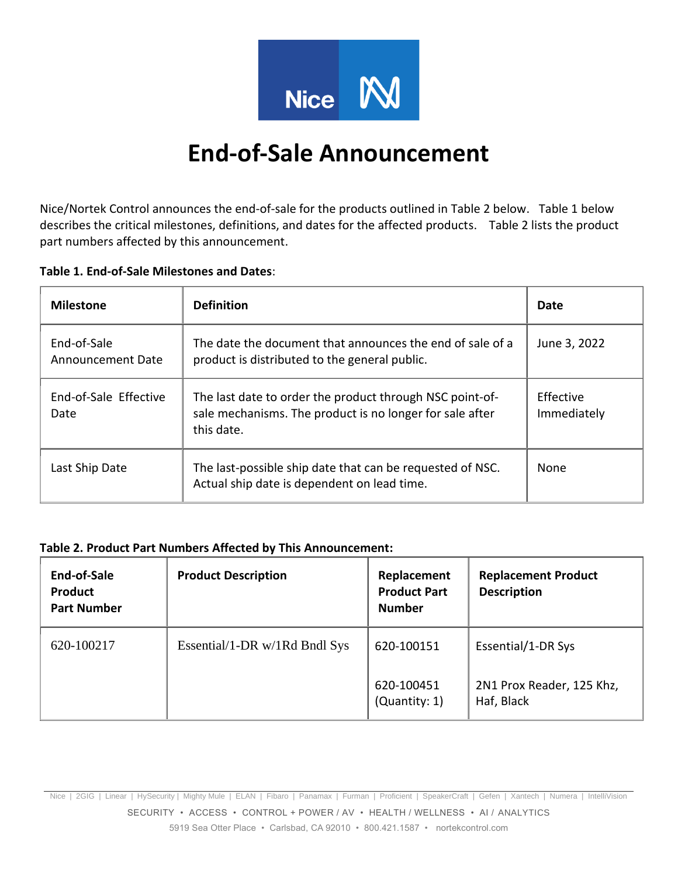

# **End-of-Sale Announcement**

Nice/Nortek Control announces the end-of-sale for the products outlined in Table 2 below. Table 1 below describes the critical milestones, definitions, and dates for the affected products. Table 2 lists the product part numbers affected by this announcement.

## **Table 1. End-of-Sale Milestones and Dates**:

| <b>Milestone</b>                 | <b>Definition</b>                                                                                                                  | Date                     |
|----------------------------------|------------------------------------------------------------------------------------------------------------------------------------|--------------------------|
| End-of-Sale<br>Announcement Date | The date the document that announces the end of sale of a<br>product is distributed to the general public.                         | June 3, 2022             |
| End-of-Sale Effective<br>Date    | The last date to order the product through NSC point-of-<br>sale mechanisms. The product is no longer for sale after<br>this date. | Effective<br>Immediately |
| Last Ship Date                   | The last-possible ship date that can be requested of NSC.<br>Actual ship date is dependent on lead time.                           | <b>None</b>              |

### **Table 2. Product Part Numbers Affected by This Announcement:**

| End-of-Sale<br><b>Product</b><br><b>Part Number</b> | <b>Product Description</b>    | Replacement<br><b>Product Part</b><br><b>Number</b> | <b>Replacement Product</b><br><b>Description</b> |
|-----------------------------------------------------|-------------------------------|-----------------------------------------------------|--------------------------------------------------|
| 620-100217                                          | Essential/1-DR w/1Rd Bndl Sys | 620-100151                                          | Essential/1-DR Sys                               |
|                                                     |                               | 620-100451<br>(Quantity: 1)                         | 2N1 Prox Reader, 125 Khz,<br>Haf, Black          |

Nice | 2GIG | Linear | HySecurity | Mighty Mule | ELAN | Fibaro | Panamax | Furman | Proficient | SpeakerCraft | Gefen | Xantech | Numera | IntelliVision SECURITY • ACCESS • CONTROL + POWER / AV • HEALTH / WELLNESS • AI / ANALYTICS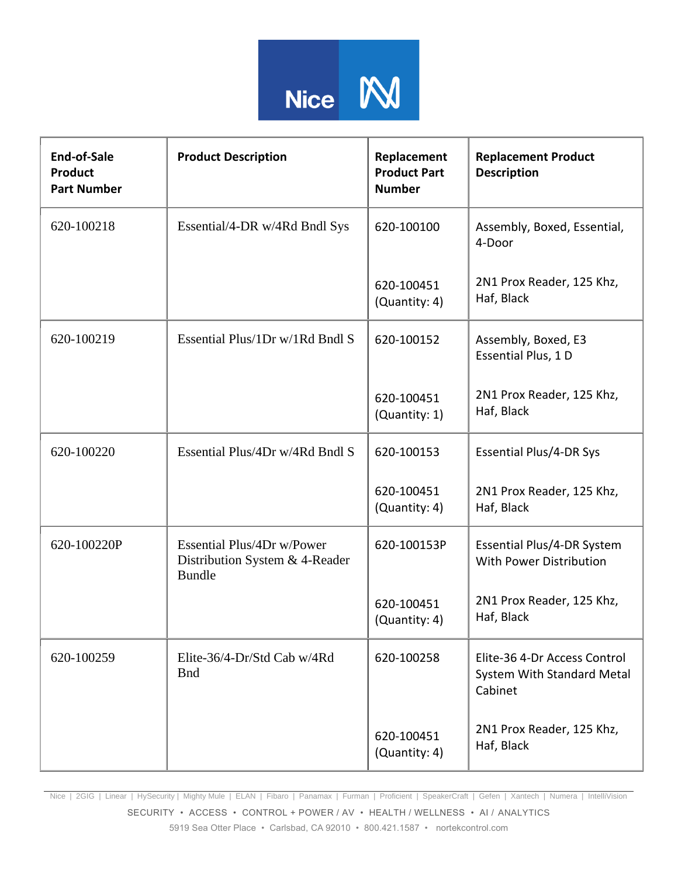

| <b>End-of-Sale</b><br><b>Product</b><br><b>Part Number</b> | <b>Product Description</b>                                                    | Replacement<br><b>Product Part</b><br><b>Number</b> | <b>Replacement Product</b><br><b>Description</b>                      |
|------------------------------------------------------------|-------------------------------------------------------------------------------|-----------------------------------------------------|-----------------------------------------------------------------------|
| 620-100218                                                 | Essential/4-DR w/4Rd Bndl Sys                                                 | 620-100100                                          | Assembly, Boxed, Essential,<br>4-Door                                 |
|                                                            |                                                                               | 620-100451<br>(Quantity: 4)                         | 2N1 Prox Reader, 125 Khz,<br>Haf, Black                               |
| 620-100219                                                 | Essential Plus/1Dr w/1Rd Bndl S                                               | 620-100152                                          | Assembly, Boxed, E3<br>Essential Plus, 1 D                            |
|                                                            |                                                                               | 620-100451<br>(Quantity: 1)                         | 2N1 Prox Reader, 125 Khz,<br>Haf, Black                               |
| 620-100220                                                 | Essential Plus/4Dr w/4Rd Bndl S                                               | 620-100153                                          | <b>Essential Plus/4-DR Sys</b>                                        |
|                                                            |                                                                               | 620-100451<br>(Quantity: 4)                         | 2N1 Prox Reader, 125 Khz,<br>Haf, Black                               |
| 620-100220P                                                | Essential Plus/4Dr w/Power<br>Distribution System & 4-Reader<br><b>Bundle</b> | 620-100153P                                         | Essential Plus/4-DR System<br>With Power Distribution                 |
|                                                            |                                                                               | 620-100451<br>(Quantity: 4)                         | 2N1 Prox Reader, 125 Khz,<br>Haf, Black                               |
| 620-100259                                                 | Elite-36/4-Dr/Std Cab w/4Rd<br><b>Bnd</b>                                     | 620-100258                                          | Elite-36 4-Dr Access Control<br>System With Standard Metal<br>Cabinet |
|                                                            |                                                                               | 620-100451<br>(Quantity: 4)                         | 2N1 Prox Reader, 125 Khz,<br>Haf, Black                               |

Nice | 2GIG | Linear | HySecurity | Mighty Mule | ELAN | Fibaro | Panamax | Furman | Proficient | SpeakerCraft | Gefen | Xantech | Numera | IntelliVision SECURITY • ACCESS • CONTROL + POWER / AV • HEALTH / WELLNESS • AI / ANALYTICS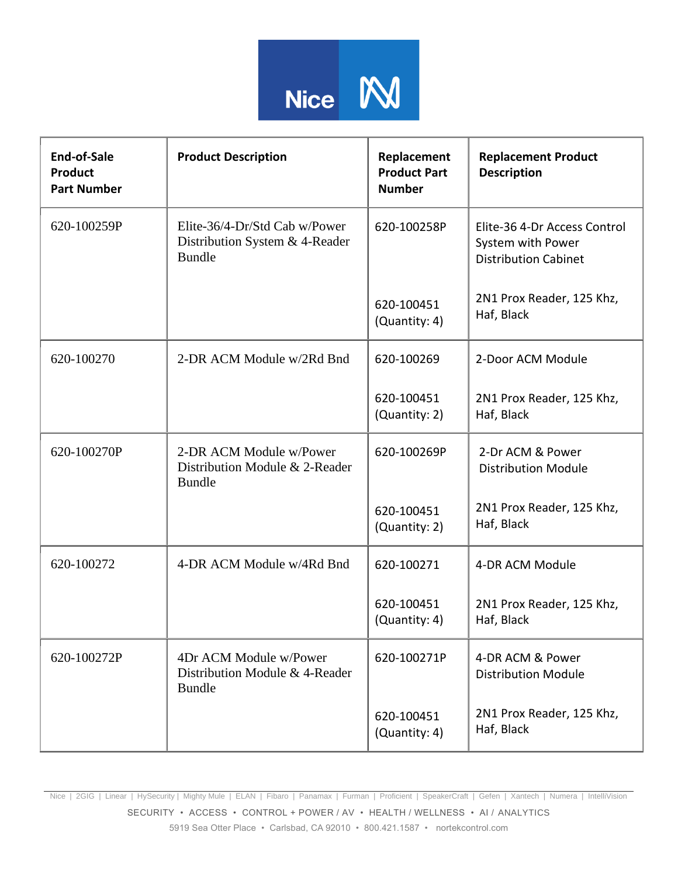

| End-of-Sale<br>Product<br><b>Part Number</b> | <b>Product Description</b>                                                       | Replacement<br><b>Product Part</b><br><b>Number</b> | <b>Replacement Product</b><br><b>Description</b>                                 |
|----------------------------------------------|----------------------------------------------------------------------------------|-----------------------------------------------------|----------------------------------------------------------------------------------|
| 620-100259P                                  | Elite-36/4-Dr/Std Cab w/Power<br>Distribution System & 4-Reader<br><b>Bundle</b> | 620-100258P                                         | Elite-36 4-Dr Access Control<br>System with Power<br><b>Distribution Cabinet</b> |
|                                              |                                                                                  | 620-100451<br>(Quantity: 4)                         | 2N1 Prox Reader, 125 Khz,<br>Haf, Black                                          |
| 620-100270                                   | 2-DR ACM Module w/2Rd Bnd                                                        | 620-100269                                          | 2-Door ACM Module                                                                |
|                                              |                                                                                  | 620-100451<br>(Quantity: 2)                         | 2N1 Prox Reader, 125 Khz,<br>Haf, Black                                          |
| 620-100270P                                  | 2-DR ACM Module w/Power<br>Distribution Module & 2-Reader<br><b>Bundle</b>       | 620-100269P                                         | 2-Dr ACM & Power<br><b>Distribution Module</b>                                   |
|                                              |                                                                                  | 620-100451<br>(Quantity: 2)                         | 2N1 Prox Reader, 125 Khz,<br>Haf, Black                                          |
| 620-100272                                   | 4-DR ACM Module w/4Rd Bnd                                                        | 620-100271                                          | 4-DR ACM Module                                                                  |
|                                              |                                                                                  | 620-100451<br>(Quantity: 4)                         | 2N1 Prox Reader, 125 Khz,<br>Haf, Black                                          |
| 620-100272P                                  | 4Dr ACM Module w/Power<br>Distribution Module & 4-Reader<br><b>Bundle</b>        | 620-100271P                                         | 4-DR ACM & Power<br><b>Distribution Module</b>                                   |
|                                              |                                                                                  | 620-100451<br>(Quantity: 4)                         | 2N1 Prox Reader, 125 Khz,<br>Haf, Black                                          |

Nice | 2GIG | Linear | HySecurity | Mighty Mule | ELAN | Fibaro | Panamax | Furman | Proficient | SpeakerCraft | Gefen | Xantech | Numera | IntelliVision SECURITY • ACCESS • CONTROL + POWER / AV • HEALTH / WELLNESS • AI / ANALYTICS 5919 Sea Otter Place • Carlsbad, CA 92010 • 800.421.1587 • [nortekcontrol.com](https://www.nortekcontrol.com/)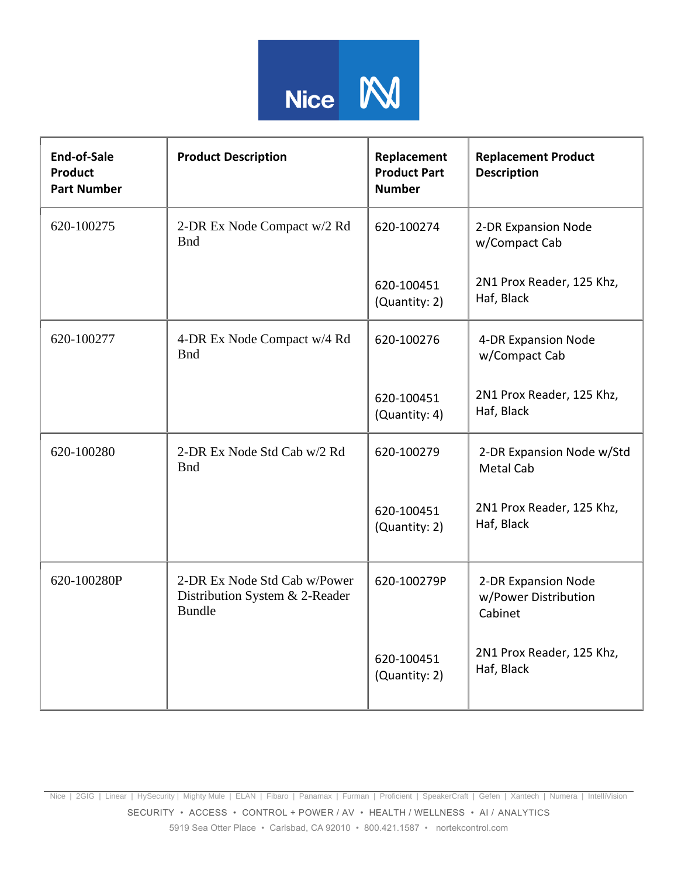

| <b>End-of-Sale</b><br><b>Product</b><br><b>Part Number</b> | <b>Product Description</b>                                                      | Replacement<br><b>Product Part</b><br><b>Number</b> | <b>Replacement Product</b><br><b>Description</b>       |
|------------------------------------------------------------|---------------------------------------------------------------------------------|-----------------------------------------------------|--------------------------------------------------------|
| 620-100275                                                 | 2-DR Ex Node Compact w/2 Rd<br><b>B</b> nd                                      | 620-100274                                          | 2-DR Expansion Node<br>w/Compact Cab                   |
|                                                            |                                                                                 | 620-100451<br>(Quantity: 2)                         | 2N1 Prox Reader, 125 Khz,<br>Haf, Black                |
| 620-100277                                                 | 4-DR Ex Node Compact w/4 Rd<br><b>Bnd</b>                                       | 620-100276                                          | 4-DR Expansion Node<br>w/Compact Cab                   |
|                                                            |                                                                                 | 620-100451<br>(Quantity: 4)                         | 2N1 Prox Reader, 125 Khz,<br>Haf, Black                |
| 620-100280                                                 | 2-DR Ex Node Std Cab w/2 Rd<br><b>Bnd</b>                                       | 620-100279                                          | 2-DR Expansion Node w/Std<br><b>Metal Cab</b>          |
|                                                            |                                                                                 | 620-100451<br>(Quantity: 2)                         | 2N1 Prox Reader, 125 Khz,<br>Haf, Black                |
| 620-100280P                                                | 2-DR Ex Node Std Cab w/Power<br>Distribution System & 2-Reader<br><b>Bundle</b> | 620-100279P                                         | 2-DR Expansion Node<br>w/Power Distribution<br>Cabinet |
|                                                            |                                                                                 | 620-100451<br>(Quantity: 2)                         | 2N1 Prox Reader, 125 Khz,<br>Haf, Black                |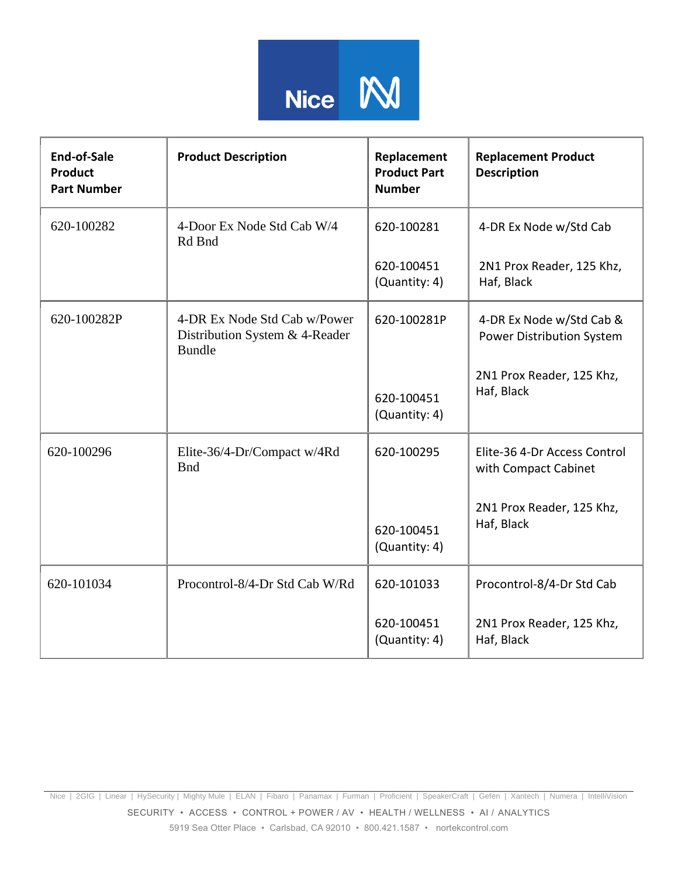

| End-of-Sale<br><b>Product</b><br><b>Part Number</b> | <b>Product Description</b>                                                      | Replacement<br><b>Product Part</b><br><b>Number</b> | <b>Replacement Product</b><br><b>Description</b>      |
|-----------------------------------------------------|---------------------------------------------------------------------------------|-----------------------------------------------------|-------------------------------------------------------|
| 620-100282                                          | 4-Door Ex Node Std Cab W/4<br>Rd Bnd                                            | 620-100281                                          | 4-DR Ex Node w/Std Cab                                |
|                                                     |                                                                                 | 620-100451<br>(Quantity: 4)                         | 2N1 Prox Reader, 125 Khz,<br>Haf, Black               |
| 620-100282P                                         | 4-DR Ex Node Std Cab w/Power<br>Distribution System & 4-Reader<br><b>Bundle</b> | 620-100281P                                         | 4-DR Ex Node w/Std Cab &<br>Power Distribution System |
|                                                     |                                                                                 | 620-100451<br>(Quantity: 4)                         | 2N1 Prox Reader, 125 Khz,<br>Haf, Black               |
| 620-100296                                          | Elite-36/4-Dr/Compact w/4Rd<br><b>Bnd</b>                                       | 620-100295                                          | Elite-36 4-Dr Access Control<br>with Compact Cabinet  |
|                                                     |                                                                                 | 620-100451<br>(Quantity: 4)                         | 2N1 Prox Reader, 125 Khz,<br>Haf, Black               |
| 620-101034                                          | Procontrol-8/4-Dr Std Cab W/Rd                                                  | 620-101033                                          | Procontrol-8/4-Dr Std Cab                             |
|                                                     |                                                                                 | 620-100451<br>(Quantity: 4)                         | 2N1 Prox Reader, 125 Khz,<br>Haf, Black               |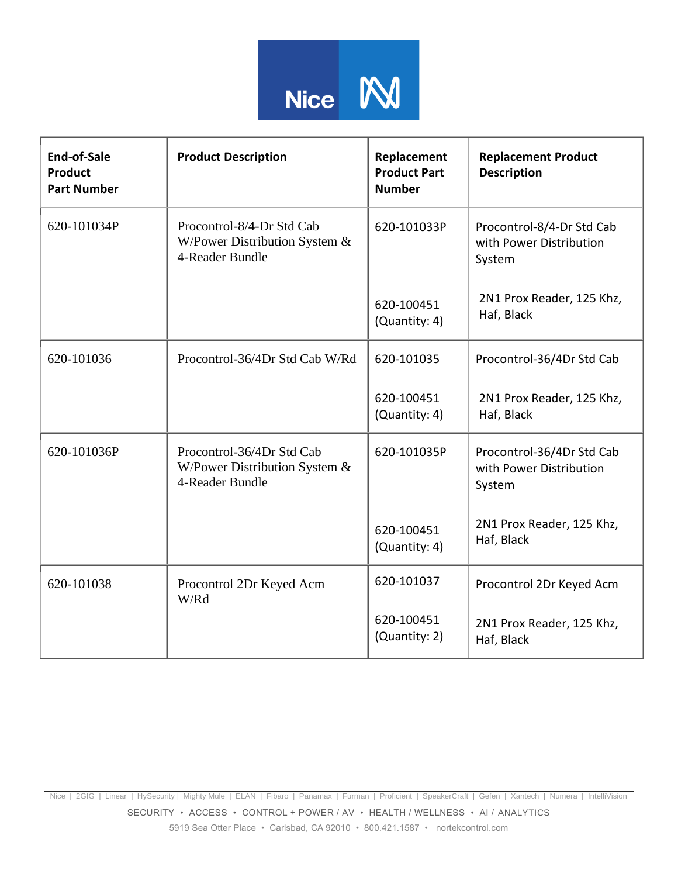

| <b>End-of-Sale</b><br><b>Product</b><br><b>Part Number</b> | <b>Product Description</b>                                                       | Replacement<br><b>Product Part</b><br><b>Number</b> | <b>Replacement Product</b><br><b>Description</b>               |
|------------------------------------------------------------|----------------------------------------------------------------------------------|-----------------------------------------------------|----------------------------------------------------------------|
| 620-101034P                                                | Procontrol-8/4-Dr Std Cab<br>W/Power Distribution System &<br>4-Reader Bundle    | 620-101033P                                         | Procontrol-8/4-Dr Std Cab<br>with Power Distribution<br>System |
|                                                            |                                                                                  | 620-100451<br>(Quantity: 4)                         | 2N1 Prox Reader, 125 Khz,<br>Haf, Black                        |
| 620-101036                                                 | Procontrol-36/4Dr Std Cab W/Rd                                                   | 620-101035                                          | Procontrol-36/4Dr Std Cab                                      |
|                                                            |                                                                                  | 620-100451<br>(Quantity: 4)                         | 2N1 Prox Reader, 125 Khz,<br>Haf, Black                        |
| 620-101036P                                                | Procontrol-36/4Dr Std Cab<br>W/Power Distribution System $\&$<br>4-Reader Bundle | 620-101035P                                         | Procontrol-36/4Dr Std Cab<br>with Power Distribution<br>System |
|                                                            |                                                                                  | 620-100451<br>(Quantity: 4)                         | 2N1 Prox Reader, 125 Khz,<br>Haf, Black                        |
| 620-101038                                                 | Procontrol 2Dr Keyed Acm<br>W/Rd                                                 | 620-101037                                          | Procontrol 2Dr Keyed Acm                                       |
|                                                            |                                                                                  | 620-100451<br>(Quantity: 2)                         | 2N1 Prox Reader, 125 Khz,<br>Haf, Black                        |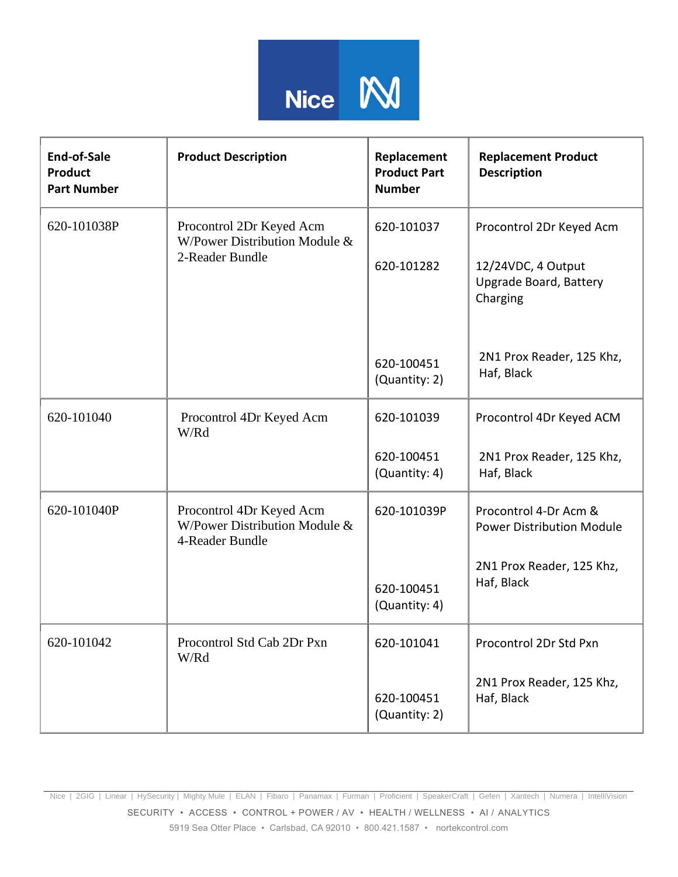

| End-of-Sale<br><b>Product</b><br><b>Part Number</b> | <b>Product Description</b>                                                   | Replacement<br><b>Product Part</b><br><b>Number</b> | <b>Replacement Product</b><br><b>Description</b>                                     |
|-----------------------------------------------------|------------------------------------------------------------------------------|-----------------------------------------------------|--------------------------------------------------------------------------------------|
| 620-101038P                                         | Procontrol 2Dr Keyed Acm<br>W/Power Distribution Module &<br>2-Reader Bundle | 620-101037<br>620-101282                            | Procontrol 2Dr Keyed Acm<br>12/24VDC, 4 Output<br>Upgrade Board, Battery<br>Charging |
|                                                     |                                                                              | 620-100451<br>(Quantity: 2)                         | 2N1 Prox Reader, 125 Khz,<br>Haf, Black                                              |
| 620-101040                                          | Procontrol 4Dr Keyed Acm<br>W/Rd                                             | 620-101039                                          | Procontrol 4Dr Keyed ACM                                                             |
|                                                     |                                                                              | 620-100451<br>(Quantity: 4)                         | 2N1 Prox Reader, 125 Khz,<br>Haf, Black                                              |
| 620-101040P                                         | Procontrol 4Dr Keyed Acm<br>W/Power Distribution Module &<br>4-Reader Bundle | 620-101039P                                         | Procontrol 4-Dr Acm &<br><b>Power Distribution Module</b>                            |
|                                                     |                                                                              | 620-100451<br>(Quantity: 4)                         | 2N1 Prox Reader, 125 Khz,<br>Haf, Black                                              |
| 620-101042                                          | Procontrol Std Cab 2Dr Pxn<br>W/Rd                                           | 620-101041                                          | Procontrol 2Dr Std Pxn                                                               |
|                                                     |                                                                              | 620-100451<br>(Quantity: 2)                         | 2N1 Prox Reader, 125 Khz,<br>Haf, Black                                              |

Nice | 2GIG | Linear | HySecurity | Mighty Mule | ELAN | Fibaro | Panamax | Furman | Proficient | SpeakerCraft | Gefen | Xantech | Numera | IntelliVision SECURITY • ACCESS • CONTROL + POWER / AV • HEALTH / WELLNESS • AI / ANALYTICS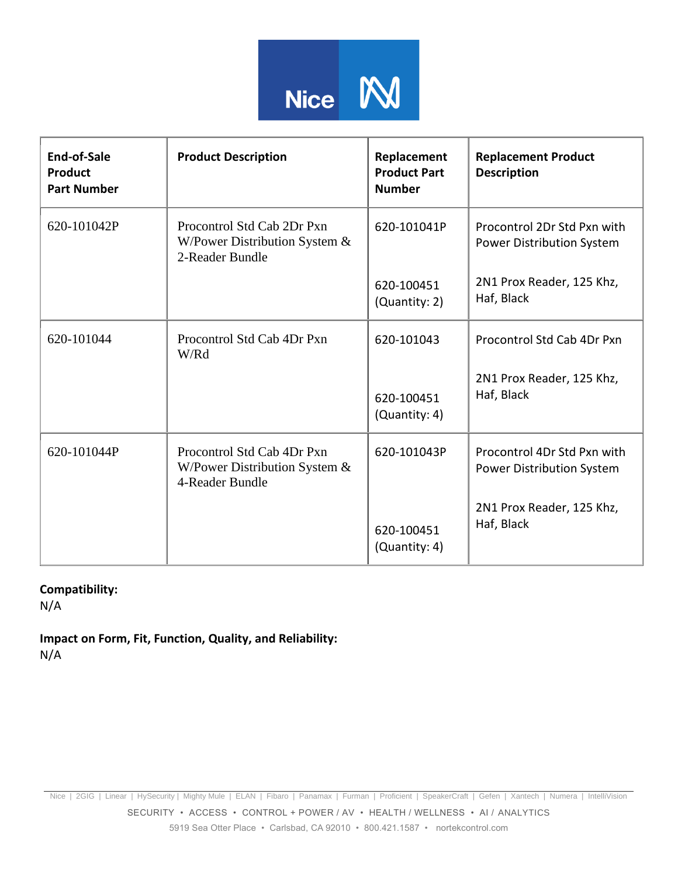

| <b>End-of-Sale</b><br><b>Product</b><br><b>Part Number</b> | <b>Product Description</b>                                                        | Replacement<br><b>Product Part</b><br><b>Number</b> | <b>Replacement Product</b><br><b>Description</b>         |
|------------------------------------------------------------|-----------------------------------------------------------------------------------|-----------------------------------------------------|----------------------------------------------------------|
| 620-101042P                                                | Procontrol Std Cab 2Dr Pxn<br>W/Power Distribution System $\&$<br>2-Reader Bundle | 620-101041P                                         | Procontrol 2Dr Std Pxn with<br>Power Distribution System |
|                                                            |                                                                                   | 620-100451<br>(Quantity: 2)                         | 2N1 Prox Reader, 125 Khz,<br>Haf, Black                  |
| 620-101044                                                 | Procontrol Std Cab 4Dr Pxn<br>W/Rd                                                | 620-101043                                          | Procontrol Std Cab 4Dr Pxn                               |
|                                                            |                                                                                   | 620-100451<br>(Quantity: 4)                         | 2N1 Prox Reader, 125 Khz,<br>Haf, Black                  |
| 620-101044P                                                | Procontrol Std Cab 4Dr Pxn<br>W/Power Distribution System $\&$<br>4-Reader Bundle | 620-101043P                                         | Procontrol 4Dr Std Pxn with<br>Power Distribution System |
|                                                            |                                                                                   | 620-100451<br>(Quantity: 4)                         | 2N1 Prox Reader, 125 Khz,<br>Haf, Black                  |

# **Compatibility:**

N/A

**Impact on Form, Fit, Function, Quality, and Reliability:** N/A

SECURITY • ACCESS • CONTROL + POWER / AV • HEALTH / WELLNESS • AI / ANALYTICS